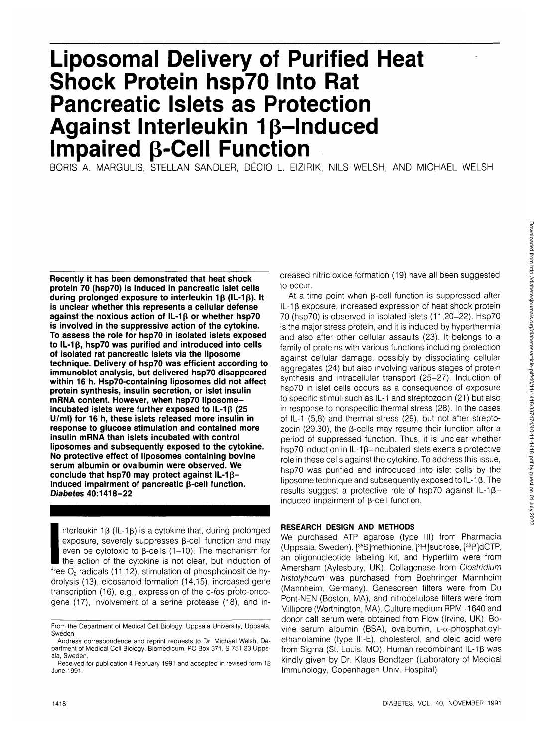# **Liposomal Delivery of Purified Heat Shock Protein hsp70 Into Rat Pancreatic Islets as Protection Against Interleukin 1β-Induced Impaired p-Cell Function**

BORIS A. MARGULIS, STELLAN SANDLER, DÉCIO L. EIZIRIK, NILS WELSH, AND MICHAEL WELSH

**Recently it has been demonstrated that heat shock protein 70 (hsp70) is induced in pancreatic islet cells during prolonged exposure to interleukin 10 (IL-10). It is unclear whether this represents a cellular defense** against the noxious action of IL-1<sub>B</sub> or whether hsp70 **is involved in the suppressive action of the cytokine. To assess the role for hsp70 in isolated islets exposed to IL-1 p, hsp70 was purified and introduced into cells of isolated rat pancreatic islets via the liposome technique. Delivery of hsp70 was efficient according to immunoblot analysis, but delivered hsp70 disappeared within 16 h. Hsp70-containing liposomes did not affect protein synthesis, insulin secretion, or islet insulin mRNA content. However, when hsp70 liposome**incubated islets were further exposed to  $IL-1\beta$  (25 **U/ml) for 16 h, these islets released more insulin in response to glucose stimulation and contained more insulin mRNA than islets incubated with control liposomes and subsequently exposed to the cytokine. No protective effect of liposomes containing bovine serum albumin or ovalbumin were observed. We** conclude that hsp70 may protect against IL-1β**induced impairment of pancreatic p-cell function. Diabetes 40:1418-22**

International<br>
International<br>
International<br>
International<br>
International<br>
International<br>
International<br>
International<br>
International<br>
International<br>
International<br>
International<br>
International<br>
International<br>
Internationa nterleukin 18 (IL-18) is a cytokine that, during prolonged exposure, severely suppresses  $\beta$ -cell function and may even be cytotoxic to  $\beta$ -cells (1-10). The mechanism for the action of the cytokine is not clear, but induction of free  $O<sub>2</sub>$  radicals (11,12), stimulation of phosphoinositide hydrolysis (13), eicosanoid formation (14,15), increased gene transcription (16), e.g., expression of the c-fos proto-oncogene (17), involvement of a serine protease (18), and in-

creased nitric oxide formation (19) have all been suggested to occur.

At a time point when  $\beta$ -cell function is suppressed after  $IL-1\beta$  exposure, increased expression of heat shock protein 70 (hsp70) is observed in isolated islets (11,20-22). Hsp70 is the major stress protein, and it is induced by hyperthermia and also after other cellular assaults (23). It belongs to a family of proteins with various functions including protection against cellular damage, possibly by dissociating cellular aggregates (24) but also involving various stages of protein synthesis and intracellular transport (25-27). Induction of hsp70 in islet cells occurs as a consequence of exposure to specific stimuli such as IL-1 and streptozocin (21) but also in response to nonspecific thermal stress (28). In the cases of IL-1 (5,8) and thermal stress (29), but not after streptozocin (29,30), the  $\beta$ -cells may resume their function after a period of suppressed function. Thus, it is unclear whether hsp70 induction in IL-1 $\beta$ -incubated islets exerts a protective role in these cells against the cytokine. To address this issue, hsp70 was purified and introduced into islet cells by the liposome technique and subsequently exposed to  $l-1\beta$ . The results suggest a protective role of hsp70 against  $IL-1\beta$ induced impairment of  $\beta$ -cell function.

# **RESEARCH DESIGN AND METHODS**

We purchased ATP agarose (type III) from Pharmacia (Uppsala, Sweden). [35S]methionine, [3 H]sucrose, [32P]dCTP, an oligonucleotide labeling kit, and Hyperfilm were from Amersham (Aylesbury, UK). Collagenase from Clostridium histolyticum was purchased from Boehringer Mannheim (Mannheim, Germany). Genescreen filters were from Du Pont-NEN (Boston, MA), and nitrocellulose filters were from Millipore (Worthington, MA). Culture medium RPMI-1640 and donor calf serum were obtained from Flow (Irvine, UK). Bovine serum albumin (BSA), ovalbumin,  $L-\alpha$ -phosphatidylethanolamine (type Ill-E), cholesterol, and oleic acid were from Sigma (St. Louis, MO). Human recombinant **IL-1 p** was kindly given by Dr. Klaus Bendtzen (Laboratory of Medical Immunology, Copenhagen Univ. Hospital).

From the Department of Medical Cell Biology, Uppsala University, Uppsala, Sweden.

Address correspondence and reprint requests to Dr. Michael Welsh, Department of Medical Cell Biology, Biomedicum, PO Box 571, S-751 23 Uppsala, Sweden.

Received for publication 4 February 1991 and accepted in revised form 12 June 1991.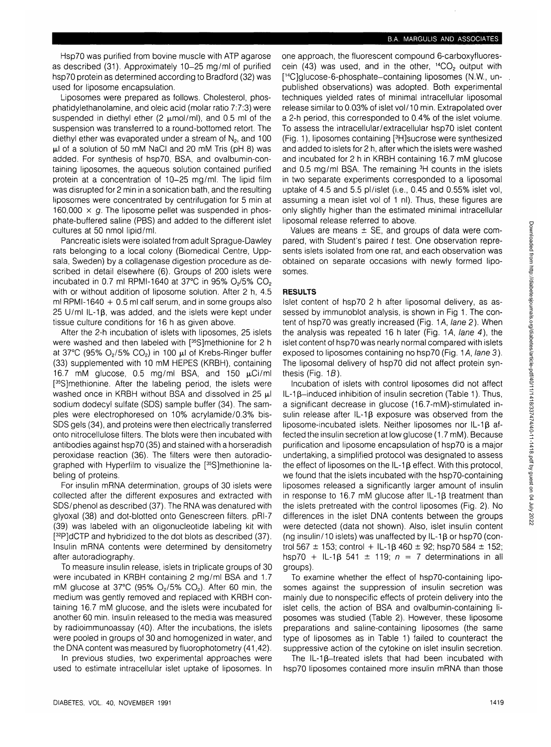Hsp70 was purified from bovine muscle with ATP agarose as described (31). Approximately 10-25 mg/ml of purified hsp70 protein as determined according to Bradford (32) was used for liposome encapsulation.

Liposomes were prepared as follows. Cholesterol, phosphatidylethanolamine, and oleic acid (molar ratio 7:7:3) were suspended in diethyl ether  $(2 \mu \text{mol/ml})$ , and 0.5 ml of the suspension was transferred to a round-bottomed retort. The diethyl ether was evaporated under a stream of  $N<sub>2</sub>$ , and 100  $\mu$ l of a solution of 50 mM NaCI and 20 mM Tris (pH 8) was added. For synthesis of hsp70, BSA, and ovalbumin-containing liposomes, the aqueous solution contained purified protein at a concentration of 10-25 mg/ml. The lipid film was disrupted for 2 min in a sonication bath, and the resulting liposomes were concentrated by centrifugation for 5 min at 160,000  $\times$  g. The liposome pellet was suspended in phosphate-buffered saline (PBS) and added to the different islet cultures at 50 nmol lipid/ml.

Pancreatic islets were isolated from adult Sprague-Dawley rats belonging to a local colony (Biomedical Centre, Uppsala, Sweden) by a collagenase digestion procedure as described in detail elsewhere (6). Groups of 200 islets were incubated in 0.7 ml RPMI-1640 at 37°C in 95% O<sub>2</sub>/5% CO<sub>2</sub> with or without addition of liposome solution. After 2 h, 4.5 ml RPMI-1640 + 0.5 ml calf serum, and in some groups also 25 U/ml IL-18, was added, and the islets were kept under tissue culture conditions for 16 h as given above.

After the 2-h incubation of islets with liposomes, 25 islets were washed and then labeled with [35S]methionine for 2 h at  $37^{\circ}$ C (95% O<sub>2</sub>/5% CO<sub>2</sub>) in 100  $\mu$ l of Krebs-Ringer buffer (33) supplemented with 10 mM HEPES (KRBH), containing 16.7 mM glucose,  $0.5$  mg/ml BSA, and 150  $\mu$ Ci/ml [<sup>35</sup>S]methionine. After the labeling period, the islets were washed once in KRBH without BSA and dissolved in 25  $\mu$ l sodium dodecyl sulfate (SDS) sample buffer (34). The samples were electrophoresed on 10% acrylamide/0.3% bis-SDS gels (34), and proteins were then electrically transferred onto nitrocellulose filters. The blots were then incubated with antibodies against hsp70 (35) and stained with a horseradish peroxidase reaction (36). The filters were then autoradiographed with Hyperfilm to visualize the [35S]methionine labeling of proteins.

For insulin mRNA determination, groups of 30 islets were collected after the different exposures and extracted with SDS/phenol as described (37). The RNA was denatured with glyoxal (38) and dot-blotted onto Genescreen filters. pRI-7 (39) was labeled with an oligonucleotide labeling kit with [<sup>32</sup>P]dCTP and hybridized to the dot blots as described (37). Insulin mRNA contents were determined by densitometry after autoradiography.

To measure insulin release, islets in triplicate groups of 30 were incubated in KRBH containing 2 mg/ml BSA and 1.7 mM glucose at 37°C (95%  $O<sub>2</sub>/5$ % CO<sub>2</sub>). After 60 min, the medium was gently removed and replaced with KRBH containing 16.7 mM glucose, and the islets were incubated for another 60 min. Insulin released to the media was measured by radioimmunoassay (40). After the incubations, the islets were pooled in groups of 30 and homogenized in water, and the DNA content was measured by fluorophotometry (41,42).

In previous studies, two experimental approaches were used to estimate intracellular islet uptake of liposomes. In one approach, the fluorescent compound 6-carboxyfluorescein (43) was used, and in the other,  $14CO<sub>2</sub>$  output with [<sup>14</sup>C]glucose-6-phosphate-containing liposomes (N.W., unpublished observations) was adopted. Both experimental techniques yielded rates of minimal intracellular liposomal release similar to 0.03% of islet vol/10 min. Extrapolated over a 2-h period, this corresponded to 0.4% of the islet volume. To assess the intracellular/extracellular hsp70 islet content (Fig. 1), liposomes containing [<sup>3</sup> H]sucrose were synthesized and added to islets for 2 h, after which the islets were washed and incubated for 2 h in KRBH containing 16.7 mM glucose and 0.5 mg/ml BSA. The remaining 3H counts in the islets in two separate experiments corresponded to a liposomal uptake of 4.5 and 5.5 pl/islet (i.e., 0.45 and 0.55% islet vol, assuming a mean islet vol of 1 nl). Thus, these figures are only slightly higher than the estimated minimal intracellular liposomal release referred to above.

Values are means  $\pm$  SE, and groups of data were compared, with Student's paired t test. One observation represents islets isolated from one rat, and each observation was obtained on separate occasions with newly formed liposomes.

## **RESULTS**

Islet content of hsp70 2 h after liposomal delivery, as assessed by immunoblot analysis, is shown in Fig 1. The content of hsp70 was greatly increased (Fig. 1A, lane 2). When the analysis was repeated 16 h later (Fig. 1A, lane 4), the islet content of hsp70 was nearly normal compared with islets exposed to liposomes containing no hsp70 (Fig. 1A, lane 3). The liposomal delivery of hsp70 did not affect protein synthesis (Fig.  $1B$ ).

Incubation of islets with control liposomes did not affect IL-18-induced inhibition of insulin secretion (Table 1). Thus, a significant decrease in glucose (16.7-mM)-stimulated insulin release after IL-1<sub>B</sub> exposure was observed from the liposome-incubated islets. Neither liposomes nor IL-1 $\beta$  affected the insulin secretion at low glucose (1.7 mM). Because purification and liposome encapsulation of hsp70 is a major undertaking, a simplified protocol was designated to assess the effect of liposomes on the  $IL-1\beta$  effect. With this protocol, we found that the islets incubated with the hsp70-containing liposomes released a significantly larger amount of insulin in response to 16.7 mM glucose after IL-18 treatment than the islets pretreated with the control liposomes (Fig. 2). No differences in the islet DNA contents between the groups were detected (data not shown). Also, islet insulin content (ng insulin/10 islets) was unaffected by  $IL-1\beta$  or hsp70 (control 567  $\pm$  153; control + IL-1 $\beta$  460  $\pm$  92; hsp70 584  $\pm$  152; hsp70 + IL-1 $\beta$  541  $\pm$  119; n = 7 determinations in all groups).

To examine whether the effect of hsp70-containing liposomes against the suppression of insulin secretion was mainly due to nonspecific effects of protein delivery into the islet cells, the action of BSA and ovalbumin-containing liposomes was studied (Table 2). However, these liposome preparations and saline-containing liposomes (the same type of liposomes as in Table 1) failed to counteract the suppressive action of the cytokine on islet insulin secretion.

The IL-1 $\beta$ -treated islets that had been incubated with hsp70 liposomes contained more insulin mRNA than those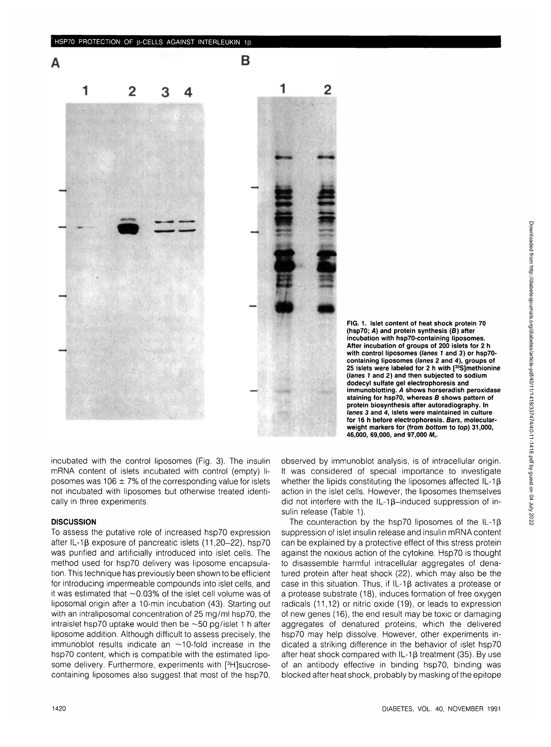

**FIG. 1. Islet content of heat shock protein 70 (hsp70; A) and protein synthesis (6) after incubation with hsp70-containing liposomes. After incubation of groups of 200 islets for 2 h with control liposomes {lanes 1 and 3) or hsp70 containing liposomes (lanes 2 and 4), groups of 25 islets were labeled for 2 h with [35S]methionine (lanes 1 and 2) and then subjected to sodium dodecyl sulfate gel electrophoresis and immunoblotting. A shows horseradish peroxidase staining for hsp70, whereas 8 shows pattern of protein biosynthesis after autoradiography. In lanes 3 and 4, islets were maintained in culture for 16 h before electrophoresis. Bars, molecularweight markers for (from bottom to top) 31,000, 46,000, 69,000, and 97,000 Mr.**

 $\overline{2}$ 

incubated with the control liposomes (Fig. 3). The insulin mRNA content of islets incubated with control (empty) liposomes was 106  $\pm$  7% of the corresponding value for islets not incubated with liposomes but otherwise treated identically in three experiments.

## **DISCUSSION**

To assess the putative role of increased hsp70 expression after IL-1 $\beta$  exposure of pancreatic islets (11,20-22), hsp70 was purified and artificially introduced into islet cells. The method used for hsp70 delivery was liposome encapsulation. This technique has previously been shown to be efficient for introducing impermeable compounds into islet cells, and it was estimated that  $\sim$  0.03% of the islet cell volume was of liposomal origin after a 10-min incubation (43). Starting out with an intraliposomal concentration of 25 mg/ml hsp70, the intraislet hsp70 uptake would then be  $\sim$  50 pg/islet 1 h after liposome addition. Although difficult to assess precisely, the immunoblot results indicate an  $\sim$ 10-fold increase in the hsp70 content, which is compatible with the estimated liposome delivery. Furthermore, experiments with [<sup>3</sup> H]sucrosecontaining liposomes also suggest that most of the hsp70, observed by immunoblot analysis, is of intracellular origin. It was considered of special importance to investigate whether the lipids constituting the liposomes affected  $IL-1\beta$ action in the islet cells. However, the liposomes themselves did not interfere with the IL-1 $\beta$ -induced suppression of insulin release (Table 1).

The counteraction by the hsp70 liposomes of the IL-1 $\beta$ suppression of islet insulin release and insulin mRNA content can be explained by a protective effect of this stress protein against the noxious action of the cytokine. Hsp70 is thought to disassemble harmful intracellular aggregates of denatured protein after heat shock (22), which may also be the case in this situation. Thus, if IL-1<sub>β</sub> activates a protease or a protease substrate (18), induces formation of free oxygen radicals (11,12) or nitric oxide (19), or leads to expression of new genes (16), the end result may be toxic or damaging aggregates of denatured proteins, which the delivered hsp70 may help dissolve. However, other experiments indicated a striking difference in the behavior of islet hsp70 after heat shock compared with IL-1 $\beta$  treatment (35). By use of an antibody effective in binding hsp70, binding was blocked after heat shock, probably by masking of the epitope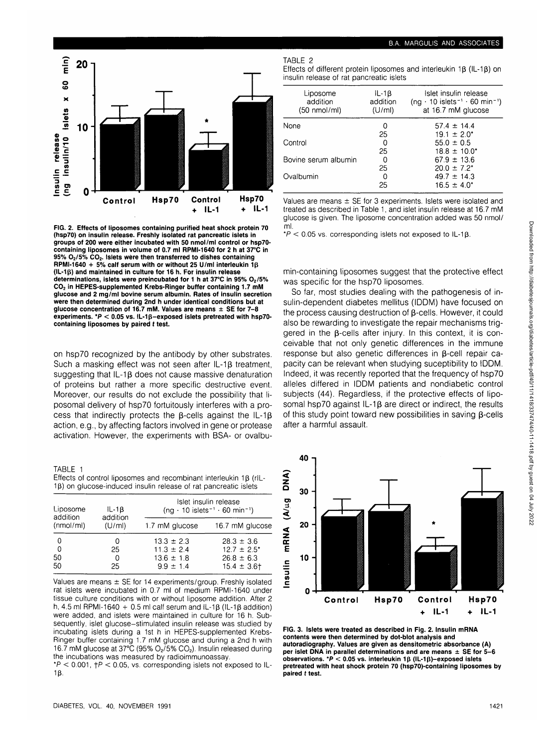

**FIG. 2. Effects of liposomes containing purified heat shock protein 70 (hsp70) on insulin release. Freshly isolated rat pancreatic islets in groups of 200 were either incubated with 50 nmol/ml control or hsp70 containing liposomes in volume of 0.7 ml RPMI-1640 for 2 h at 37°C in 95% O2/5% CO2. Islets were then transferred to dishes containing RPMI-1640 + 5% calf serum with or without 25 U/ml interleukin ip (IL-ip) and maintained in culture for 16 h. For insulin release** determinations, islets were preincubated for 1 h at 37°C in 95% O<sub>2</sub>/5% **CO2 in HEPES-supplemented Krebs-Ringer buffer containing 1.7 mM glucose and 2 mg/ml bovine serum albumin. Rates of insulin secretion were then determined during 2nd h under identical conditions but at glucose concentration of 16.7 mM. Values are means ± SE for 7-8 experiments. \*P < 0.05 vs. !L-ip-exposed islets pretreated with hsp70 containing liposomes by paired t test.**

on hsp70 recognized by the antibody by other substrates. Such a masking effect was not seen after IL-18 treatment, suggesting that IL-1B does not cause massive denaturation of proteins but rather a more specific destructive event. Moreover, our results do not exclude the possibility that liposomal delivery of hsp70 fortuitously interferes with a process that indirectly protects the  $\beta$ -cells against the IL-1 $\beta$ action, e.g., by affecting factors involved in gene or protease activation. However, the experiments with BSA- or ovalbu-

TABLE 1 Effects of control liposomes and recombinant interleukin 1B (rlL-1<sub>B</sub>) on glucose-induced insulin release of rat pancreatic islets

| Liposome<br>addition<br>(nmol/ml) | $IL-1B$<br>addition<br>(U/m) | Islet insulin release<br>$(ng \cdot 10 \text{ is} \text{lets}^{-1} \cdot 60 \text{ min}^{-1})$ |                                                                        |
|-----------------------------------|------------------------------|------------------------------------------------------------------------------------------------|------------------------------------------------------------------------|
|                                   |                              | 1.7 mM glucose                                                                                 | 16.7 mM glucose                                                        |
| 0<br>0<br>50<br>50                | O<br>25<br>0<br>25           | $13.3 \pm 2.3$<br>$11.3 \pm 2.4$<br>$13.6 \pm 1.8$<br>$9.9 \pm 1.4$                            | $28.3 \pm 3.6$<br>$12.7 \pm 2.5^*$<br>$26.8 \pm 6.3$<br>$15.4 \pm 3.6$ |

Values are means ± SE for 14 experiments/group. Freshly isolated rat islets were incubated in 0.7 ml of medium RPMI-1640 under tissue culture conditions with or without liposome addition. After 2 h, 4.5 ml RPMI-1640 + 0.5 ml calf serum and IL-1 $\beta$  (IL-1 $\beta$  addition) were added, and islets were maintained in culture for 16 h. Subsequently, islet glucose-stimulated insulin release was studied by incubating islets during a 1st h in HEPES-supplemented Krebs-Ringer buffer containing 1.7 mM glucose and during a 2nd h with 16.7 mM glucose at 37°C (95% O2/5% CO2). Insulin released during the incubations was measured by radioimmunoassay.

 $*P < 0.001$ ,  $+P < 0.05$ , vs. corresponding islets not exposed to IL-13.

#### TABLE 2

Effects of different protein liposomes and interleukin 1<sub>8</sub> (IL-1<sub>B</sub>) on insulin release of rat pancreatic islets

| Liposome<br>addition<br>$(50 \text{ nmol/ml})$ | $IL-1B$<br>addition<br>(U/ml) | Islet insulin release<br>$(ng \cdot 10 \text{ islets}^{-1} \cdot 60 \text{ min}^{-1})$<br>at 16.7 mM glucose |
|------------------------------------------------|-------------------------------|--------------------------------------------------------------------------------------------------------------|
| None                                           |                               | $57.4 \pm 14.4$                                                                                              |
|                                                | 25                            | $19.1 \pm 2.0^*$                                                                                             |
| Control                                        |                               | $55.0 \pm 0.5$                                                                                               |
|                                                | 25                            | $18.8 \pm 10.0^*$                                                                                            |
| Bovine serum albumin                           |                               | $67.9 \pm 13.6$                                                                                              |
|                                                | 25                            | $20.0 \pm 7.2$ *                                                                                             |
| Ovalbumin                                      |                               | $49.7 \pm 14.3$                                                                                              |
|                                                | 25                            | $16.5 \pm 4.0^*$                                                                                             |
|                                                |                               |                                                                                                              |

Values are means  $\pm$  SE for 3 experiments. Islets were isolated and treated as described in Table 1, and islet insulin release at 16.7 mM glucose is given. The liposome concentration added was 50 nmol/ ml.

 $*P < 0.05$  vs. corresponding islets not exposed to IL-1 $\beta$ .

min-containing liposomes suggest that the protective effect was specific for the hsp70 liposomes.

So far, most studies dealing with the pathogenesis of insulin-dependent diabetes mellitus (IDDM) have focused on the process causing destruction of B-cells. However, it could also be rewarding to investigate the repair mechanisms triggered in the  $\beta$ -cells after injury. In this context, it is conceivable that not only genetic differences in the immune  $response$  but also genetic differences in  $\beta$ -cell repair capacity can be relevant when studying suceptibility to IDDM. Indeed, it was recently reported that the frequency of hsp70 alleles differed in IDDM patients and nondiabetic control subjects (44). Regardless, if the protective effects of liposomal hsp70 against IL-18 are direct or indirect, the results of this study point toward new possibilities in saving  $\beta$ -cells after a harmful assault.



**FIG. 3. Islets were treated as described in Fig. 2. Insulin mRNA contents were then determined by dot-blot analysis and autoradiography. Values are given as densitometric absorbance (A) per islet DNA in parallel determinations and are means ± SE for 5-6 observations. \*P < 0.05 vs. interleukin 1{J (IL-ip)-exposed islets pretreated with heat shock protein 70 (hsp70)-containing liposomes by paired t test.**